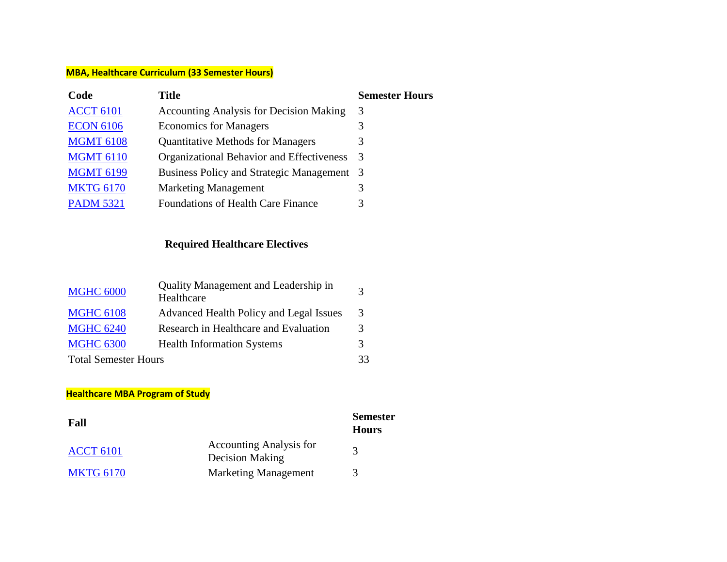## **MBA, Healthcare Curriculum (33 Semester Hours)**

| Title<br>Code                                                           | <b>Semester Hours</b> |
|-------------------------------------------------------------------------|-----------------------|
| <b>ACCT 6101</b><br><b>Accounting Analysis for Decision Making</b><br>3 |                       |
| <b>ECON 6106</b><br><b>Economics for Managers</b><br>3                  |                       |
| <b>MGMT 6108</b><br><b>Quantitative Methods for Managers</b><br>3       |                       |
| <b>MGMT 6110</b><br>Organizational Behavior and Effectiveness<br>3      |                       |
| <b>MGMT 6199</b><br>Business Policy and Strategic Management 3          |                       |
| <b>MKTG 6170</b><br><b>Marketing Management</b><br>3                    |                       |
| <b>PADM 5321</b><br><b>Foundations of Health Care Finance</b><br>3      |                       |

# **Required Healthcare Electives**

| <b>MGHC 6000</b>            | Quality Management and Leadership in<br>Healthcare | $\mathbf 3$   |
|-----------------------------|----------------------------------------------------|---------------|
| <b>MGHC 6108</b>            | Advanced Health Policy and Legal Issues            | $\mathcal{R}$ |
| <b>MGHC 6240</b>            | Research in Healthcare and Evaluation              | 3             |
| <b>MGHC 6300</b>            | <b>Health Information Systems</b>                  | 3             |
| <b>Total Semester Hours</b> |                                                    | 33            |

### **Healthcare MBA Program of Study**

| Fall             |                                                   | <b>Semester</b><br><b>Hours</b> |
|------------------|---------------------------------------------------|---------------------------------|
| <b>ACCT 6101</b> | <b>Accounting Analysis for</b><br>Decision Making |                                 |
| <b>MKTG 6170</b> | <b>Marketing Management</b>                       |                                 |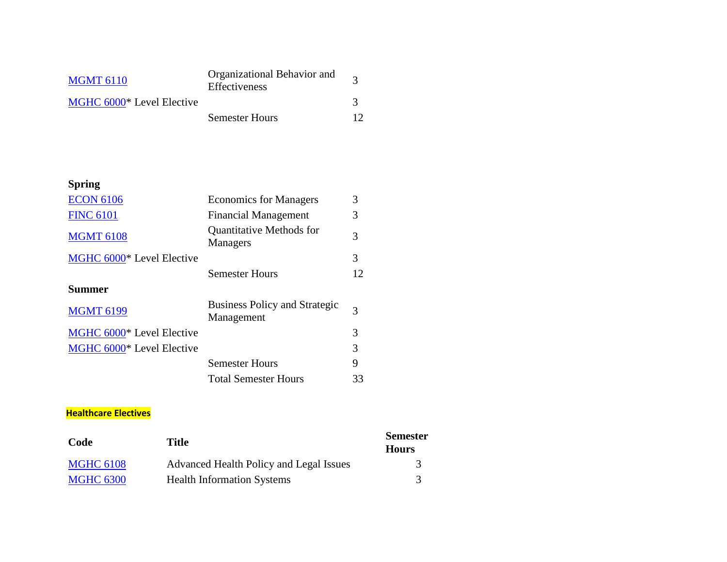| <b>MGMT 6110</b>          | Organizational Behavior and<br>Effectiveness |    |
|---------------------------|----------------------------------------------|----|
| MGHC 6000* Level Elective |                                              |    |
|                           | <b>Semester Hours</b>                        | 12 |

# **Spring**

| <b>ECON 6106</b>          | <b>Economics for Managers</b>                      | 3  |
|---------------------------|----------------------------------------------------|----|
| <b>FINC 6101</b>          | <b>Financial Management</b>                        | 3  |
| <b>MGMT 6108</b>          | Quantitative Methods for<br>Managers               | 3  |
| MGHC 6000* Level Elective |                                                    | 3  |
|                           | <b>Semester Hours</b>                              | 12 |
| <b>Summer</b>             |                                                    |    |
| <b>MGMT 6199</b>          | <b>Business Policy and Strategic</b><br>Management | 3  |
| MGHC 6000* Level Elective |                                                    | 3  |
| MGHC 6000* Level Elective |                                                    | 3  |
|                           | <b>Semester Hours</b>                              | 9  |
|                           | <b>Total Semester Hours</b>                        | 33 |

## **Healthcare Electives**

| Code             | Title                                   | <b>Semester</b><br><b>Hours</b> |
|------------------|-----------------------------------------|---------------------------------|
| <b>MGHC 6108</b> | Advanced Health Policy and Legal Issues | 3                               |
| <b>MGHC 6300</b> | <b>Health Information Systems</b>       |                                 |